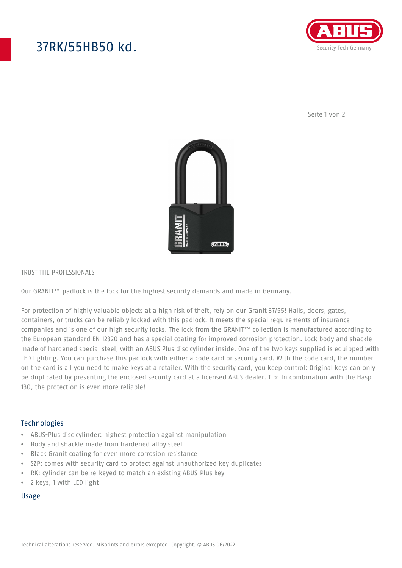# 37RK/55HB50 kd.



Seite 1 von 2



#### TRUST THE PROFESSIONALS

Our GRANIT™ padlock is the lock for the highest security demands and made in Germany.

For protection of highly valuable objects at a high risk of theft, rely on our Granit 37/55! Halls, doors, gates, containers, or trucks can be reliably locked with this padlock. It meets the special requirements of insurance companies and is one of our high security locks. The lock from the GRANIT™ collection is manufactured according to the European standard EN 12320 and has a special coating for improved corrosion protection. Lock body and shackle made of hardened special steel, with an ABUS Plus disc cylinder inside. One of the two keys supplied is equipped with LED lighting. You can purchase this padlock with either a code card or security card. With the code card, the number on the card is all you need to make keys at a retailer. With the security card, you keep control: Original keys can only be duplicated by presenting the enclosed security card at a licensed ABUS dealer. Tip: In combination with the Hasp 130, the protection is even more reliable!

### Technologies

- ABUS-Plus disc cylinder: highest protection against manipulation
- Body and shackle made from hardened alloy steel
- Black Granit coating for even more corrosion resistance
- SZP: comes with security card to protect against unauthorized key duplicates
- RK: cylinder can be re-keyed to match an existing ABUS-Plus key
- 2 keys, 1 with LED light

#### Usage